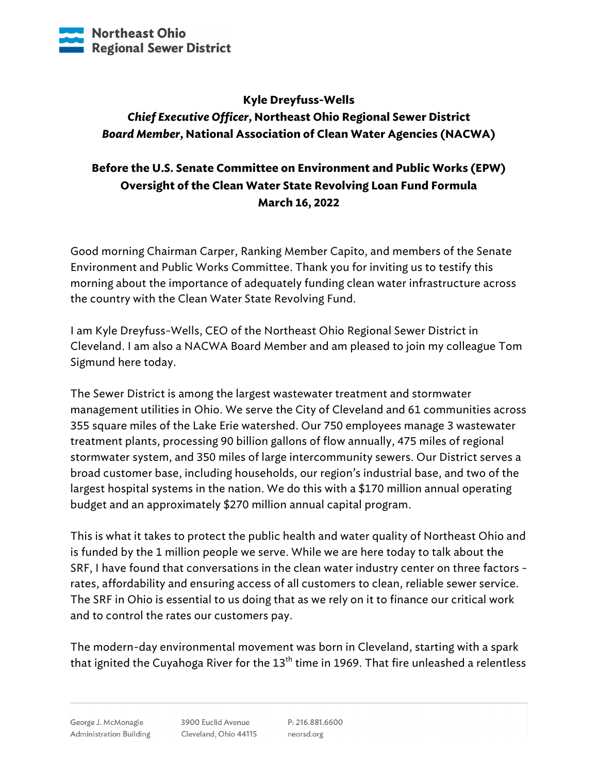

## **Kyle Dreyfuss-Wells** *Chief Executive Officer***, Northeast Ohio Regional Sewer District** *Board Member***, National Association of Clean Water Agencies (NACWA)**

## **Before the U.S. Senate Committee on Environment and Public Works (EPW) Oversight of the Clean Water State Revolving Loan Fund Formula March 16, 2022**

Good morning Chairman Carper, Ranking Member Capito, and members of the Senate Environment and Public Works Committee. Thank you for inviting us to testify this morning about the importance of adequately funding clean water infrastructure across the country with the Clean Water State Revolving Fund.

I am Kyle Dreyfuss-Wells, CEO of the Northeast Ohio Regional Sewer District in Cleveland. I am also a NACWA Board Member and am pleased to join my colleague Tom Sigmund here today.

The Sewer District is among the largest wastewater treatment and stormwater management utilities in Ohio. We serve the City of Cleveland and 61 communities across 355 square miles of the Lake Erie watershed. Our 750 employees manage 3 wastewater treatment plants, processing 90 billion gallons of flow annually, 475 miles of regional stormwater system, and 350 miles of large intercommunity sewers. Our District serves a broad customer base, including households, our region's industrial base, and two of the largest hospital systems in the nation. We do this with a \$170 million annual operating budget and an approximately \$270 million annual capital program.

This is what it takes to protect the public health and water quality of Northeast Ohio and is funded by the 1 million people we serve. While we are here today to talk about the SRF, I have found that conversations in the clean water industry center on three factors rates, affordability and ensuring access of all customers to clean, reliable sewer service. The SRF in Ohio is essential to us doing that as we rely on it to finance our critical work and to control the rates our customers pay.

The modern-day environmental movement was born in Cleveland, starting with a spark that ignited the Cuyahoga River for the  $13<sup>th</sup>$  time in 1969. That fire unleashed a relentless

3900 Euclid Avenue Cleveland, Ohio 44115

P: 216.881.6600 neorsd.org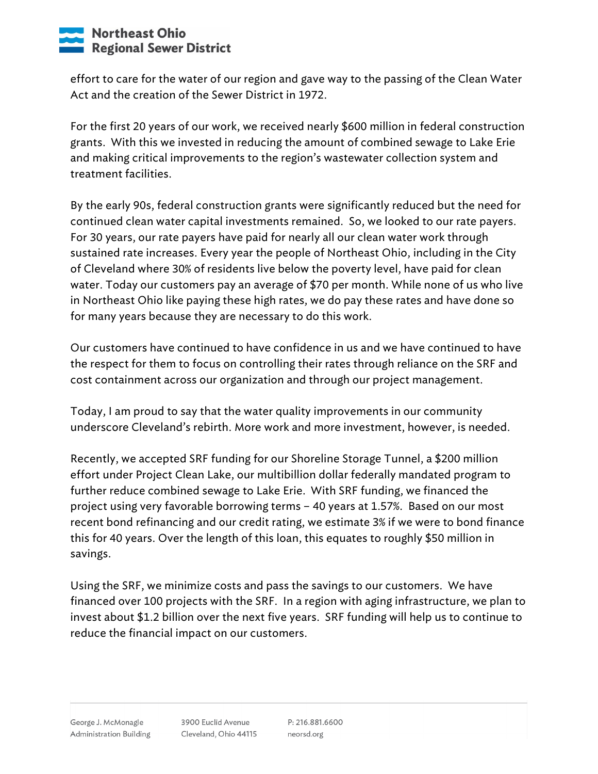## **Northeast Ohio Regional Sewer District**

effort to care for the water of our region and gave way to the passing of the Clean Water Act and the creation of the Sewer District in 1972.

For the first 20 years of our work, we received nearly \$600 million in federal construction grants. With this we invested in reducing the amount of combined sewage to Lake Erie and making critical improvements to the region's wastewater collection system and treatment facilities.

By the early 90s, federal construction grants were significantly reduced but the need for continued clean water capital investments remained. So, we looked to our rate payers. For 30 years, our rate payers have paid for nearly all our clean water work through sustained rate increases. Every year the people of Northeast Ohio, including in the City of Cleveland where 30% of residents live below the poverty level, have paid for clean water. Today our customers pay an average of \$70 per month. While none of us who live in Northeast Ohio like paying these high rates, we do pay these rates and have done so for many years because they are necessary to do this work.

Our customers have continued to have confidence in us and we have continued to have the respect for them to focus on controlling their rates through reliance on the SRF and cost containment across our organization and through our project management.

Today, I am proud to say that the water quality improvements in our community underscore Cleveland's rebirth. More work and more investment, however, is needed.

Recently, we accepted SRF funding for our Shoreline Storage Tunnel, a \$200 million effort under Project Clean Lake, our multibillion dollar federally mandated program to further reduce combined sewage to Lake Erie. With SRF funding, we financed the project using very favorable borrowing terms – 40 years at 1.57%. Based on our most recent bond refinancing and our credit rating, we estimate 3% if we were to bond finance this for 40 years. Over the length of this loan, this equates to roughly \$50 million in savings.

Using the SRF, we minimize costs and pass the savings to our customers. We have financed over 100 projects with the SRF. In a region with aging infrastructure, we plan to invest about \$1.2 billion over the next five years. SRF funding will help us to continue to reduce the financial impact on our customers.